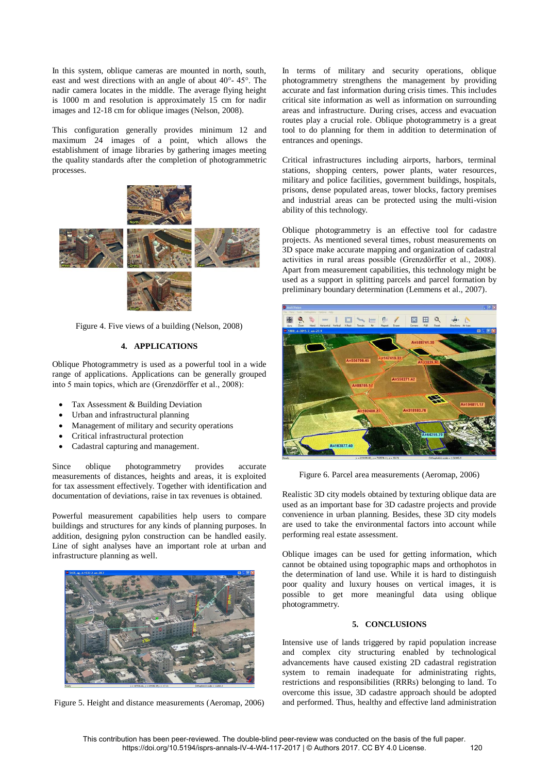In this system, oblique cameras are mounted in north, south, east and west directions with an angle of about 40°- 45°. The nadir camera locates in the middle. The average flying height is 1000 m and resolution is approximately 15 cm for nadir images and 12-18 cm for oblique images (Nelson, 2008).

This configuration generally provides minimum 12 and maximum 24 images of a point, which allows the establishment of image libraries by gathering images meeting the quality standards after the completion of photogrammetric processes.



Figure 4. Five views of a building (Nelson, 2008)

## **4. APPLICATIONS**

Oblique Photogrammetry is used as a powerful tool in a wide range of applications. Applications can be generally grouped into 5 main topics, which are (Grenzdörffer et al., 2008):

- Tax Assessment & Building Deviation
- Urban and infrastructural planning
- Management of military and security operations
- Critical infrastructural protection
- Cadastral capturing and management.

Since oblique photogrammetry provides accurate measurements of distances, heights and areas, it is exploited for tax assessment effectively. Together with identification and documentation of deviations, raise in tax revenues is obtained.

Powerful measurement capabilities help users to compare buildings and structures for any kinds of planning purposes. In addition, designing pylon construction can be handled easily. Line of sight analyses have an important role at urban and infrastructure planning as well.



Figure 5. Height and distance measurements (Aeromap, 2006)

In terms of military and security operations, oblique photogrammetry strengthens the management by providing accurate and fast information during crisis times. This includes critical site information as well as information on surrounding areas and infrastructure. During crises, access and evacuation routes play a crucial role. Oblique photogrammetry is a great tool to do planning for them in addition to determination of entrances and openings.

Critical infrastructures including airports, harbors, terminal stations, shopping centers, power plants, water resources, military and police facilities, government buildings, hospitals, prisons, dense populated areas, tower blocks, factory premises and industrial areas can be protected using the multi-vision ability of this technology.

Oblique photogrammetry is an effective tool for cadastre projects. As mentioned several times, robust measurements on 3D space make accurate mapping and organization of cadastral activities in rural areas possible (Grenzdörffer et al., 2008). Apart from measurement capabilities, this technology might be used as a support in splitting parcels and parcel formation by preliminary boundary determination (Lemmens et al., 2007).



Figure 6. Parcel area measurements (Aeromap, 2006)

Realistic 3D city models obtained by texturing oblique data are used as an important base for 3D cadastre projects and provide convenience in urban planning. Besides, these 3D city models are used to take the environmental factors into account while performing real estate assessment.

Oblique images can be used for getting information, which cannot be obtained using topographic maps and orthophotos in the determination of land use. While it is hard to distinguish poor quality and luxury houses on vertical images, it is possible to get more meaningful data using oblique photogrammetry.

## **5. CONCLUSIONS**

Intensive use of lands triggered by rapid population increase and complex city structuring enabled by technological advancements have caused existing 2D cadastral registration system to remain inadequate for administrating rights, restrictions and responsibilities (RRRs) belonging to land. To overcome this issue, 3D cadastre approach should be adopted and performed. Thus, healthy and effective land administration